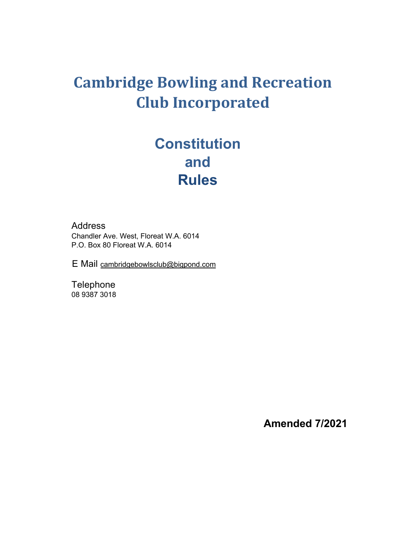# **Cambridge Bowling and Recreation Club Incorporated**

# **Constitution and Rules**

 Address Chandler Ave. West, Floreat W.A. 6014 P.O. Box 80 Floreat W.A. 6014

E Mail cambridgebowlsclub@bigpond.com

**Telephone** 08 9387 3018

**Amended 7/2021**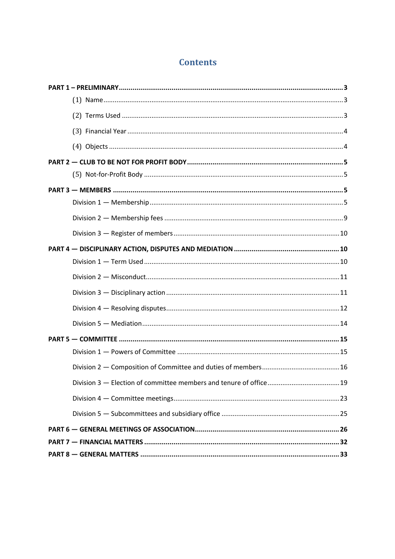# **Contents**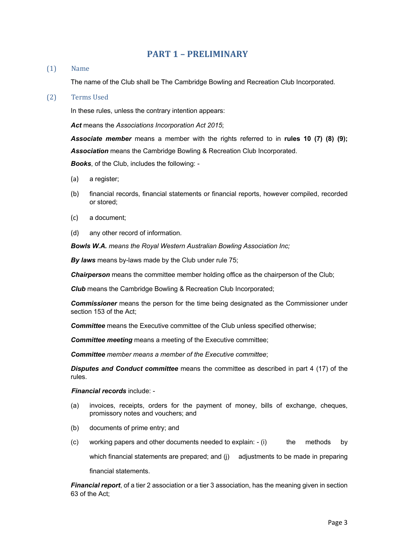# **PART 1 - PRELIMINARY**

#### (1) Name

The name of the Club shall be The Cambridge Bowling and Recreation Club Incorporated.

#### (2) Terms Used

In these rules, unless the contrary intention appears:

*Act* means the *Associations Incorporation Act 2015*;

*Associate member* means a member with the rights referred to in **rules 10 (7) (8) (9);** *Association* means the Cambridge Bowling & Recreation Club Incorporated.

*Books*, of the Club, includes the following: -

- (a) a register;
- (b) financial records, financial statements or financial reports, however compiled, recorded or stored;
- (c) a document;
- (d) any other record of information.

*Bowls W.A. means the Royal Western Australian Bowling Association Inc;*

*By laws* means by-laws made by the Club under rule 75;

**Chairperson** means the committee member holding office as the chairperson of the Club;

**Club** means the Cambridge Bowling & Recreation Club Incorporated:

*Commissioner* means the person for the time being designated as the Commissioner under section 153 of the Act;

*Committee* means the Executive committee of the Club unless specified otherwise;

*Committee meeting* means a meeting of the Executive committee;

*Committee member means a member of the Executive committee*;

*Disputes and Conduct committee* means the committee as described in part 4 (17) of the rules.

*Financial records* include: -

- (a) invoices, receipts, orders for the payment of money, bills of exchange, cheques, promissory notes and vouchers; and
- (b) documents of prime entry; and
- (c) working papers and other documents needed to explain: (i) the methods by which financial statements are prepared; and (j) adjustments to be made in preparing financial statements.

*Financial report*, of a tier 2 association or a tier 3 association, has the meaning given in section 63 of the Act;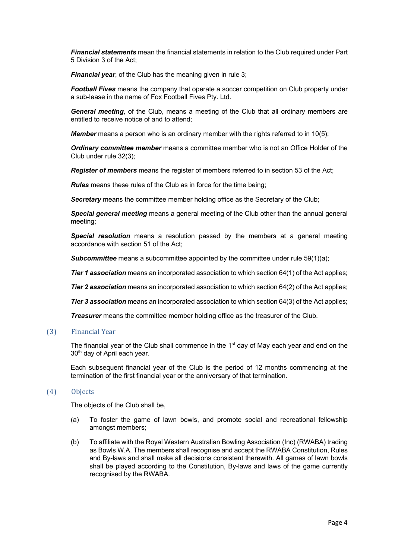*Financial statements* mean the financial statements in relation to the Club required under Part 5 Division 3 of the Act;

*Financial year,* of the Club has the meaning given in rule 3;

*Football Fives* means the company that operate a soccer competition on Club property under a sub-lease in the name of Fox Football Fives Pty. Ltd.

*General meeting*, of the Club, means a meeting of the Club that all ordinary members are entitled to receive notice of and to attend;

*Member* means a person who is an ordinary member with the rights referred to in 10(5);

*Ordinary committee member* means a committee member who is not an Office Holder of the Club under rule 32(3);

*Register of members* means the register of members referred to in section 53 of the Act;

*Rules* means these rules of the Club as in force for the time being;

**Secretary** means the committee member holding office as the Secretary of the Club;

*Special general meeting* means a general meeting of the Club other than the annual general meeting;

*Special resolution* means a resolution passed by the members at a general meeting accordance with section 51 of the Act;

**Subcommittee** means a subcommittee appointed by the committee under rule 59(1)(a);

*Tier 1 association* means an incorporated association to which section 64(1) of the Act applies;

**Tier 2 association** means an incorporated association to which section 64(2) of the Act applies;

*Tier 3 association* means an incorporated association to which section 64(3) of the Act applies;

**Treasurer** means the committee member holding office as the treasurer of the Club.

(3) Financial Year 

The financial year of the Club shall commence in the  $1<sup>st</sup>$  day of May each year and end on the 30<sup>th</sup> day of April each year.

Each subsequent financial year of the Club is the period of 12 months commencing at the termination of the first financial year or the anniversary of that termination.

#### (4) Objects

The objects of the Club shall be,

- (a) To foster the game of lawn bowls, and promote social and recreational fellowship amongst members;
- (b) To affiliate with the Royal Western Australian Bowling Association (Inc) (RWABA) trading as Bowls W.A. The members shall recognise and accept the RWABA Constitution, Rules and By-laws and shall make all decisions consistent therewith. All games of lawn bowls shall be played according to the Constitution, By-laws and laws of the game currently recognised by the RWABA.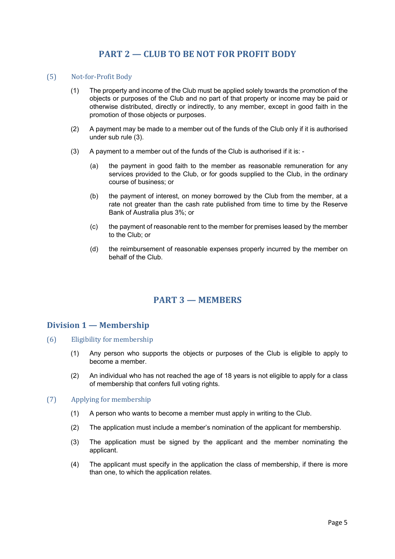# **PART 2 – CLUB TO BE NOT FOR PROFIT BODY**

#### (5) Not-for-Profit Body

- (1) The property and income of the Club must be applied solely towards the promotion of the objects or purposes of the Club and no part of that property or income may be paid or otherwise distributed, directly or indirectly, to any member, except in good faith in the promotion of those objects or purposes.
- (2) A payment may be made to a member out of the funds of the Club only if it is authorised under sub rule (3).
- (3) A payment to a member out of the funds of the Club is authorised if it is:
	- (a) the payment in good faith to the member as reasonable remuneration for any services provided to the Club, or for goods supplied to the Club, in the ordinary course of business; or
	- (b) the payment of interest, on money borrowed by the Club from the member, at a rate not greater than the cash rate published from time to time by the Reserve Bank of Australia plus 3%; or
	- (c) the payment of reasonable rent to the member for premises leased by the member to the Club; or
	- (d) the reimbursement of reasonable expenses properly incurred by the member on behalf of the Club.

# **PART 3 — MEMBERS**

# **Division 1 — Membership**

- $(6)$  Eligibility for membership
	- (1) Any person who supports the objects or purposes of the Club is eligible to apply to become a member.
	- (2) An individual who has not reached the age of 18 years is not eligible to apply for a class of membership that confers full voting rights.

#### (7) Applying for membership

- (1) A person who wants to become a member must apply in writing to the Club.
- (2) The application must include a member's nomination of the applicant for membership.
- (3) The application must be signed by the applicant and the member nominating the applicant.
- (4) The applicant must specify in the application the class of membership, if there is more than one, to which the application relates.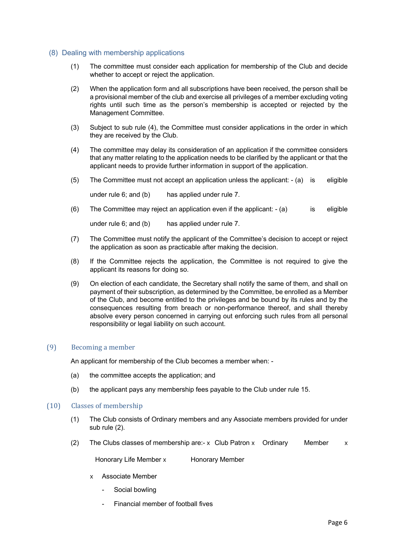### (8) Dealing with membership applications

- (1) The committee must consider each application for membership of the Club and decide whether to accept or reject the application.
- (2) When the application form and all subscriptions have been received, the person shall be a provisional member of the club and exercise all privileges of a member excluding voting rights until such time as the person's membership is accepted or rejected by the Management Committee.
- (3) Subject to sub rule (4), the Committee must consider applications in the order in which they are received by the Club.
- (4) The committee may delay its consideration of an application if the committee considers that any matter relating to the application needs to be clarified by the applicant or that the applicant needs to provide further information in support of the application.
- (5) The Committee must not accept an application unless the applicant: (a) is eligible

under rule 6; and (b) has applied under rule 7.

(6) The Committee may reject an application even if the applicant: - (a) is eligible

under rule 6; and (b) has applied under rule 7.

- (7) The Committee must notify the applicant of the Committee's decision to accept or reject the application as soon as practicable after making the decision.
- (8) If the Committee rejects the application, the Committee is not required to give the applicant its reasons for doing so.
- (9) On election of each candidate, the Secretary shall notify the same of them, and shall on payment of their subscription, as determined by the Committee, be enrolled as a Member of the Club, and become entitled to the privileges and be bound by its rules and by the consequences resulting from breach or non-performance thereof, and shall thereby absolve every person concerned in carrying out enforcing such rules from all personal responsibility or legal liability on such account.

## (9) Becoming a member

An applicant for membership of the Club becomes a member when: -

- (a) the committee accepts the application; and
- (b) the applicant pays any membership fees payable to the Club under rule 15.

#### $(10)$  Classes of membership

- (1) The Club consists of Ordinary members and any Associate members provided for under sub rule (2).
- (2) The Clubs classes of membership are:- x Club Patron x Ordinary Member  $\times$

Honorary Life Member x Honorary Member

x Associate Member

- Social bowling
- Financial member of football fives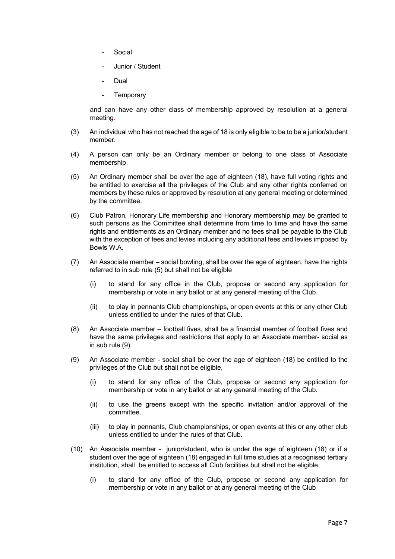- **Social**
- Junior / Student
- **Dual**
- Temporary

and can have any other class of membership approved by resolution at a general meeting.

- (3) An individual who has not reached the age of 18 is only eligible to be to be a junior/student member.
- (4) A person can only be an Ordinary member or belong to one class of Associate membership.
- (5) An Ordinary member shall be over the age of eighteen (18), have full voting rights and be entitled to exercise all the privileges of the Club and any other rights conferred on members by these rules or approved by resolution at any general meeting or determined by the committee.
- (6) Club Patron, Honorary Life membership and Honorary membership may be granted to such persons as the Committee shall determine from time to time and have the same rights and entitlements as an Ordinary member and no fees shall be payable to the Club with the exception of fees and levies including any additional fees and levies imposed by Bowls W.A.
- (7) An Associate member social bowling, shall be over the age of eighteen, have the rights referred to in sub rule (5) but shall not be eligible
	- (i) to stand for any office in the Club, propose or second any application for membership or vote in any ballot or at any general meeting of the Club.
	- (ii) to play in pennants Club championships, or open events at this or any other Club unless entitled to under the rules of that Club.
- (8) An Associate member football fives, shall be a financial member of football fives and have the same privileges and restrictions that apply to an Associate member- social as in sub rule (9).
- (9) An Associate member social shall be over the age of eighteen (18) be entitled to the privileges of the Club but shall not be eligible,
	- (i) to stand for any office of the Club, propose or second any application for membership or vote in any ballot or at any general meeting of the Club.
	- (ii) to use the greens except with the specific invitation and/or approval of the committee.
	- (iii) to play in pennants, Club championships, or open events at this or any other club unless entitled to under the rules of that Club.
- (10) An Associate member junior/student, who is under the age of eighteen (18) or if a student over the age of eighteen (18) engaged in full time studies at a recognised tertiary institution, shall be entitled to access all Club facilities but shall not be eligible,
	- (i) to stand for any office of the Club, propose or second any application for membership or vote in any ballot or at any general meeting of the Club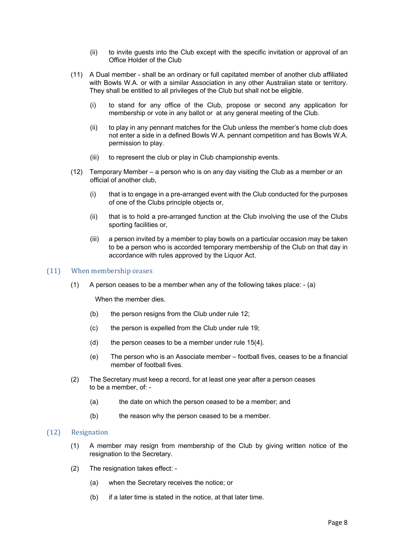- (ii) to invite guests into the Club except with the specific invitation or approval of an Office Holder of the Club
- (11) A Dual member shall be an ordinary or full capitated member of another club affiliated with Bowls W.A. or with a similar Association in any other Australian state or territory. They shall be entitled to all privileges of the Club but shall not be eligible.
	- (i) to stand for any office of the Club, propose or second any application for membership or vote in any ballot or at any general meeting of the Club.
	- (ii) to play in any pennant matches for the Club unless the member's home club does not enter a side in a defined Bowls W.A. pennant competition and has Bowls W.A. permission to play.
	- (iii) to represent the club or play in Club championship events.
- (12) Temporary Member a person who is on any day visiting the Club as a member or an official of another club,
	- (i) that is to engage in a pre-arranged event with the Club conducted for the purposes of one of the Clubs principle objects or,
	- (ii) that is to hold a pre-arranged function at the Club involving the use of the Clubs sporting facilities or,
	- (iii) a person invited by a member to play bowls on a particular occasion may be taken to be a person who is accorded temporary membership of the Club on that day in accordance with rules approved by the Liquor Act.

#### (11) When membership ceases

(1) A person ceases to be a member when any of the following takes place: - (a)

When the member dies.

- (b) the person resigns from the Club under rule 12;
- (c) the person is expelled from the Club under rule 19;
- (d) the person ceases to be a member under rule 15(4).
- (e) The person who is an Associate member football fives, ceases to be a financial member of football fives.
- (2) The Secretary must keep a record, for at least one year after a person ceases to be a member, of: -
	- (a) the date on which the person ceased to be a member; and
	- (b) the reason why the person ceased to be a member.

#### (12) Resignation

- (1) A member may resign from membership of the Club by giving written notice of the resignation to the Secretary.
- (2) The resignation takes effect:
	- (a) when the Secretary receives the notice; or
	- (b) if a later time is stated in the notice, at that later time.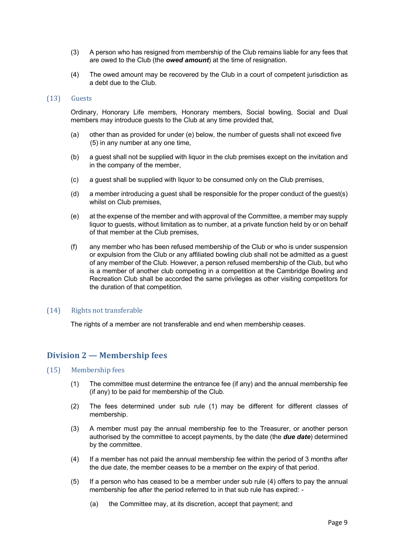- (3) A person who has resigned from membership of the Club remains liable for any fees that are owed to the Club (the *owed amount*) at the time of resignation.
- (4) The owed amount may be recovered by the Club in a court of competent jurisdiction as a debt due to the Club.

#### (13) Guests

Ordinary, Honorary Life members, Honorary members, Social bowling, Social and Dual members may introduce guests to the Club at any time provided that,

- (a) other than as provided for under (e) below, the number of guests shall not exceed five (5) in any number at any one time,
- (b) a guest shall not be supplied with liquor in the club premises except on the invitation and in the company of the member,
- (c) a guest shall be supplied with liquor to be consumed only on the Club premises,
- (d) a member introducing a guest shall be responsible for the proper conduct of the guest(s) whilst on Club premises,
- (e) at the expense of the member and with approval of the Committee, a member may supply liquor to guests, without limitation as to number, at a private function held by or on behalf of that member at the Club premises,
- (f) any member who has been refused membership of the Club or who is under suspension or expulsion from the Club or any affiliated bowling club shall not be admitted as a guest of any member of the Club. However, a person refused membership of the Club, but who is a member of another club competing in a competition at the Cambridge Bowling and Recreation Club shall be accorded the same privileges as other visiting competitors for the duration of that competition.

#### $(14)$  Rights not transferable

The rights of a member are not transferable and end when membership ceases.

# **Division 2 — Membership fees**

#### (15) Membership fees

- (1) The committee must determine the entrance fee (if any) and the annual membership fee (if any) to be paid for membership of the Club.
- (2) The fees determined under sub rule (1) may be different for different classes of membership.
- (3) A member must pay the annual membership fee to the Treasurer, or another person authorised by the committee to accept payments, by the date (the *due date*) determined by the committee.
- (4) If a member has not paid the annual membership fee within the period of 3 months after the due date, the member ceases to be a member on the expiry of that period.
- (5) If a person who has ceased to be a member under sub rule (4) offers to pay the annual membership fee after the period referred to in that sub rule has expired: -
	- (a) the Committee may, at its discretion, accept that payment; and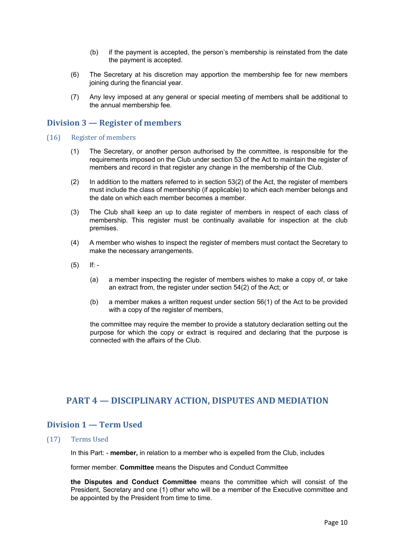- (b) if the payment is accepted, the person's membership is reinstated from the date the payment is accepted.
- (6) The Secretary at his discretion may apportion the membership fee for new members joining during the financial year.
- (7) Any levy imposed at any general or special meeting of members shall be additional to the annual membership fee.

# **Division 3 — Register of members**

- (16) Register of members
	- (1) The Secretary, or another person authorised by the committee, is responsible for the requirements imposed on the Club under section 53 of the Act to maintain the register of members and record in that register any change in the membership of the Club.
	- (2) In addition to the matters referred to in section 53(2) of the Act, the register of members must include the class of membership (if applicable) to which each member belongs and the date on which each member becomes a member.
	- (3) The Club shall keep an up to date register of members in respect of each class of membership. This register must be continually available for inspection at the club premises.
	- (4) A member who wishes to inspect the register of members must contact the Secretary to make the necessary arrangements.
	- $(5)$  If: -
		- (a) a member inspecting the register of members wishes to make a copy of, or take an extract from, the register under section 54(2) of the Act; or
		- (b) a member makes a written request under section 56(1) of the Act to be provided with a copy of the register of members,

the committee may require the member to provide a statutory declaration setting out the purpose for which the copy or extract is required and declaring that the purpose is connected with the affairs of the Club.

# **PART 4 – DISCIPLINARY ACTION, DISPUTES AND MEDIATION**

# **Division 1 — Term Used**

(17) Terms Used 

In this Part: - **member,** in relation to a member who is expelled from the Club, includes

former member. **Committee** means the Disputes and Conduct Committee

**the Disputes and Conduct Committee** means the committee which will consist of the President, Secretary and one (1) other who will be a member of the Executive committee and be appointed by the President from time to time.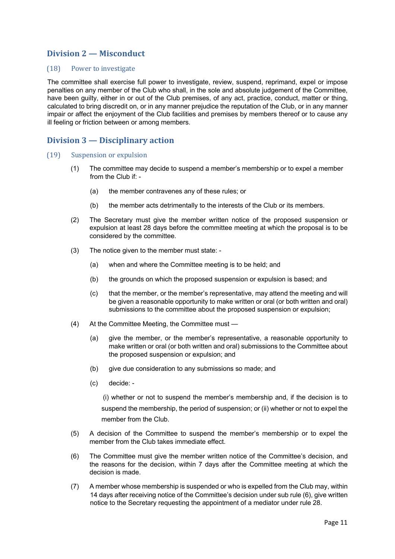# **Division 2 — Misconduct**

#### (18) Power to investigate

The committee shall exercise full power to investigate, review, suspend, reprimand, expel or impose penalties on any member of the Club who shall, in the sole and absolute judgement of the Committee, have been guilty, either in or out of the Club premises, of any act, practice, conduct, matter or thing, calculated to bring discredit on, or in any manner prejudice the reputation of the Club, or in any manner impair or affect the enjoyment of the Club facilities and premises by members thereof or to cause any ill feeling or friction between or among members.

## **Division 3 — Disciplinary action**

- (19) Suspension or expulsion
	- (1) The committee may decide to suspend a member's membership or to expel a member from the Club if: -
		- (a) the member contravenes any of these rules; or
		- (b) the member acts detrimentally to the interests of the Club or its members.
	- (2) The Secretary must give the member written notice of the proposed suspension or expulsion at least 28 days before the committee meeting at which the proposal is to be considered by the committee.
	- (3) The notice given to the member must state:
		- (a) when and where the Committee meeting is to be held; and
		- (b) the grounds on which the proposed suspension or expulsion is based; and
		- (c) that the member, or the member's representative, may attend the meeting and will be given a reasonable opportunity to make written or oral (or both written and oral) submissions to the committee about the proposed suspension or expulsion;
	- (4) At the Committee Meeting, the Committee must
		- (a) give the member, or the member's representative, a reasonable opportunity to make written or oral (or both written and oral) submissions to the Committee about the proposed suspension or expulsion; and
		- (b) give due consideration to any submissions so made; and
		- (c) decide: -

(i) whether or not to suspend the member's membership and, if the decision is to suspend the membership, the period of suspension; or (ii) whether or not to expel the member from the Club.

- (5) A decision of the Committee to suspend the member's membership or to expel the member from the Club takes immediate effect.
- (6) The Committee must give the member written notice of the Committee's decision, and the reasons for the decision, within 7 days after the Committee meeting at which the decision is made.
- (7) A member whose membership is suspended or who is expelled from the Club may, within 14 days after receiving notice of the Committee's decision under sub rule (6), give written notice to the Secretary requesting the appointment of a mediator under rule 28.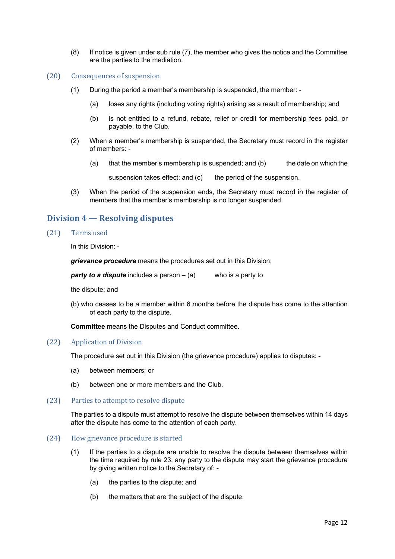- (8) If notice is given under sub rule (7), the member who gives the notice and the Committee are the parties to the mediation.
- (20) Consequences of suspension
	- (1) During the period a member's membership is suspended, the member:
		- (a) loses any rights (including voting rights) arising as a result of membership; and
		- (b) is not entitled to a refund, rebate, relief or credit for membership fees paid, or payable, to the Club.
	- (2) When a member's membership is suspended, the Secretary must record in the register of members: -
		- (a) that the member's membership is suspended; and (b) the date on which the

suspension takes effect; and (c) the period of the suspension.

(3) When the period of the suspension ends, the Secretary must record in the register of members that the member's membership is no longer suspended.

# **Division 4 — Resolving disputes**

(21) Terms used

In this Division: -

*grievance procedure* means the procedures set out in this Division;

*party to a dispute* includes a person – (a) who is a party to

the dispute; and

(b) who ceases to be a member within 6 months before the dispute has come to the attention of each party to the dispute.

**Committee** means the Disputes and Conduct committee.

#### (22) Application of Division

The procedure set out in this Division (the grievance procedure) applies to disputes: -

- (a) between members; or
- (b) between one or more members and the Club.
- (23) Parties to attempt to resolve dispute

The parties to a dispute must attempt to resolve the dispute between themselves within 14 days after the dispute has come to the attention of each party.

#### (24) How grievance procedure is started

- (1) If the parties to a dispute are unable to resolve the dispute between themselves within the time required by rule 23, any party to the dispute may start the grievance procedure by giving written notice to the Secretary of: -
	- (a) the parties to the dispute; and
	- (b) the matters that are the subject of the dispute.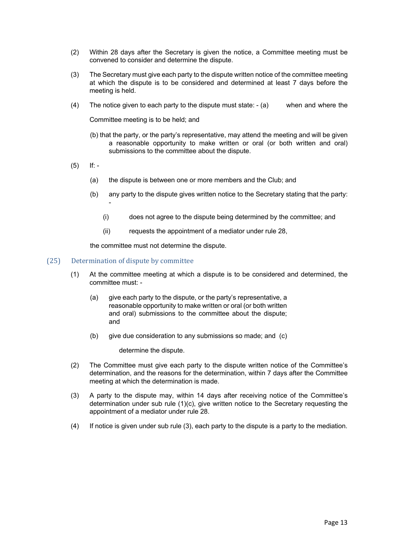- (2) Within 28 days after the Secretary is given the notice, a Committee meeting must be convened to consider and determine the dispute.
- (3) The Secretary must give each party to the dispute written notice of the committee meeting at which the dispute is to be considered and determined at least 7 days before the meeting is held.
- (4) The notice given to each party to the dispute must state: (a) when and where the

Committee meeting is to be held; and

- (b) that the party, or the party's representative, may attend the meeting and will be given a reasonable opportunity to make written or oral (or both written and oral) submissions to the committee about the dispute.
- $(5)$  If: -
	- (a) the dispute is between one or more members and the Club; and
	- (b) any party to the dispute gives written notice to the Secretary stating that the party: -
		- (i) does not agree to the dispute being determined by the committee; and
		- (ii) requests the appointment of a mediator under rule 28,

the committee must not determine the dispute.

#### (25) Determination of dispute by committee

- (1) At the committee meeting at which a dispute is to be considered and determined, the committee must: -
	- (a) give each party to the dispute, or the party's representative, a reasonable opportunity to make written or oral (or both written and oral) submissions to the committee about the dispute; and
	- (b) give due consideration to any submissions so made; and (c)

determine the dispute.

- (2) The Committee must give each party to the dispute written notice of the Committee's determination, and the reasons for the determination, within 7 days after the Committee meeting at which the determination is made.
- (3) A party to the dispute may, within 14 days after receiving notice of the Committee's determination under sub rule (1)(c), give written notice to the Secretary requesting the appointment of a mediator under rule 28.
- (4) If notice is given under sub rule (3), each party to the dispute is a party to the mediation.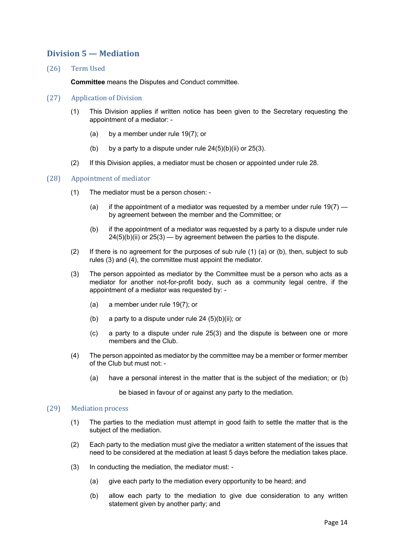# **Division 5 — Mediation**

(26) Term Used 

**Committee** means the Disputes and Conduct committee.

#### (27) Application of Division

- (1) This Division applies if written notice has been given to the Secretary requesting the appointment of a mediator: -
	- (a) by a member under rule 19(7); or
	- (b) by a party to a dispute under rule  $24(5)(b)(ii)$  or  $25(3)$ .
- (2) If this Division applies, a mediator must be chosen or appointed under rule 28.

#### (28) Appointment of mediator

- (1) The mediator must be a person chosen:
	- (a) if the appointment of a mediator was requested by a member under rule  $19(7)$  by agreement between the member and the Committee; or
	- (b) if the appointment of a mediator was requested by a party to a dispute under rule  $24(5)(b)(ii)$  or  $25(3)$  — by agreement between the parties to the dispute.
- (2) If there is no agreement for the purposes of sub rule (1) (a) or (b), then, subject to sub rules (3) and (4), the committee must appoint the mediator.
- (3) The person appointed as mediator by the Committee must be a person who acts as a mediator for another not-for-profit body, such as a community legal centre, if the appointment of a mediator was requested by: -
	- (a) a member under rule 19(7); or
	- (b) a party to a dispute under rule  $24$  (5)(b)(ii); or
	- (c) a party to a dispute under rule 25(3) and the dispute is between one or more members and the Club.
- (4) The person appointed as mediator by the committee may be a member or former member of the Club but must not: -
	- (a) have a personal interest in the matter that is the subject of the mediation; or (b)

be biased in favour of or against any party to the mediation.

#### (29) Mediation process

- (1) The parties to the mediation must attempt in good faith to settle the matter that is the subject of the mediation.
- (2) Each party to the mediation must give the mediator a written statement of the issues that need to be considered at the mediation at least 5 days before the mediation takes place.
- (3) In conducting the mediation, the mediator must:
	- (a) give each party to the mediation every opportunity to be heard; and
	- (b) allow each party to the mediation to give due consideration to any written statement given by another party; and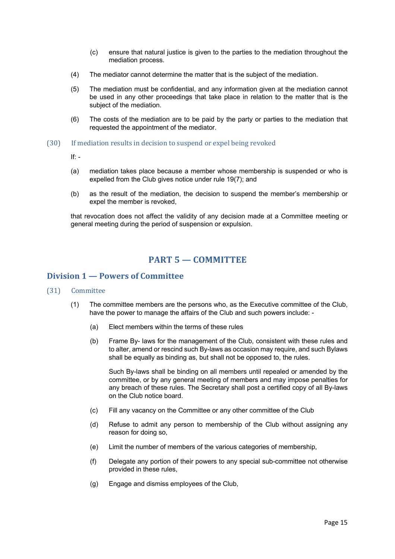- (c) ensure that natural justice is given to the parties to the mediation throughout the mediation process.
- (4) The mediator cannot determine the matter that is the subject of the mediation.
- (5) The mediation must be confidential, and any information given at the mediation cannot be used in any other proceedings that take place in relation to the matter that is the subject of the mediation.
- (6) The costs of the mediation are to be paid by the party or parties to the mediation that requested the appointment of the mediator.
- (30) If mediation results in decision to suspend or expel being revoked

If:  $-$ 

- (a) mediation takes place because a member whose membership is suspended or who is expelled from the Club gives notice under rule 19(7); and
- (b) as the result of the mediation, the decision to suspend the member's membership or expel the member is revoked,

that revocation does not affect the validity of any decision made at a Committee meeting or general meeting during the period of suspension or expulsion.

# **PART 5 — COMMITTEE**

# **Division 1 — Powers of Committee**

#### (31) Committee

- (1) The committee members are the persons who, as the Executive committee of the Club, have the power to manage the affairs of the Club and such powers include: -
	- (a) Elect members within the terms of these rules
	- (b) Frame By- laws for the management of the Club, consistent with these rules and to alter, amend or rescind such By-laws as occasion may require, and such Bylaws shall be equally as binding as, but shall not be opposed to, the rules.

Such By-laws shall be binding on all members until repealed or amended by the committee, or by any general meeting of members and may impose penalties for any breach of these rules. The Secretary shall post a certified copy of all By-laws on the Club notice board.

- (c) Fill any vacancy on the Committee or any other committee of the Club
- (d) Refuse to admit any person to membership of the Club without assigning any reason for doing so,
- (e) Limit the number of members of the various categories of membership,
- (f) Delegate any portion of their powers to any special sub-committee not otherwise provided in these rules,
- (g) Engage and dismiss employees of the Club,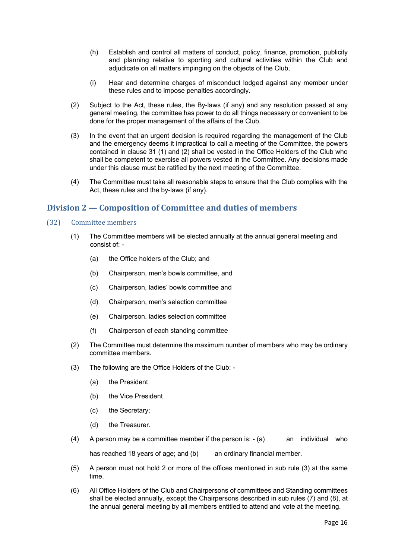- (h) Establish and control all matters of conduct, policy, finance, promotion, publicity and planning relative to sporting and cultural activities within the Club and adjudicate on all matters impinging on the objects of the Club,
- (i) Hear and determine charges of misconduct lodged against any member under these rules and to impose penalties accordingly.
- (2) Subject to the Act, these rules, the By-laws (if any) and any resolution passed at any general meeting, the committee has power to do all things necessary or convenient to be done for the proper management of the affairs of the Club.
- (3) In the event that an urgent decision is required regarding the management of the Club and the emergency deems it impractical to call a meeting of the Committee, the powers contained in clause 31 (1) and (2) shall be vested in the Office Holders of the Club who shall be competent to exercise all powers vested in the Committee. Any decisions made under this clause must be ratified by the next meeting of the Committee.
- (4) The Committee must take all reasonable steps to ensure that the Club complies with the Act, these rules and the by-laws (if any).

# **Division 2 — Composition of Committee and duties of members**

- (32) Committee members
	- (1) The Committee members will be elected annually at the annual general meeting and consist of: -
		- (a) the Office holders of the Club; and
		- (b) Chairperson, men's bowls committee, and
		- (c) Chairperson, ladies' bowls committee and
		- (d) Chairperson, men's selection committee
		- (e) Chairperson. ladies selection committee
		- (f) Chairperson of each standing committee
	- (2) The Committee must determine the maximum number of members who may be ordinary committee members.
	- (3) The following are the Office Holders of the Club:
		- (a) the President
		- (b) the Vice President
		- (c) the Secretary;
		- (d) the Treasurer.
	- (4) A person may be a committee member if the person is:  $-(a)$  an individual who has reached 18 years of age; and (b) an ordinary financial member.
	- (5) A person must not hold 2 or more of the offices mentioned in sub rule (3) at the same time.
	- (6) All Office Holders of the Club and Chairpersons of committees and Standing committees shall be elected annually, except the Chairpersons described in sub rules (7) and (8), at the annual general meeting by all members entitled to attend and vote at the meeting.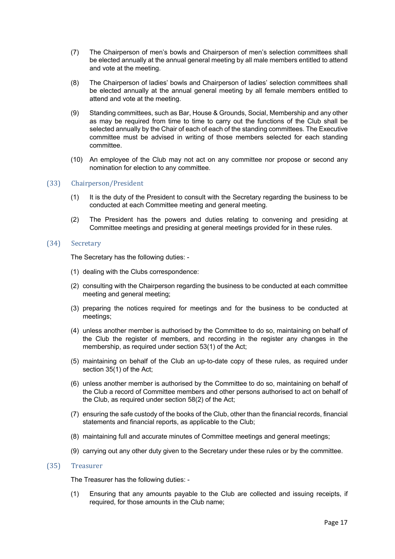- (7) The Chairperson of men's bowls and Chairperson of men's selection committees shall be elected annually at the annual general meeting by all male members entitled to attend and vote at the meeting.
- (8) The Chairperson of ladies' bowls and Chairperson of ladies' selection committees shall be elected annually at the annual general meeting by all female members entitled to attend and vote at the meeting.
- (9) Standing committees, such as Bar, House & Grounds, Social, Membership and any other as may be required from time to time to carry out the functions of the Club shall be selected annually by the Chair of each of each of the standing committees. The Executive committee must be advised in writing of those members selected for each standing committee.
- (10) An employee of the Club may not act on any committee nor propose or second any nomination for election to any committee.

#### (33) Chairperson/President

- (1) It is the duty of the President to consult with the Secretary regarding the business to be conducted at each Committee meeting and general meeting.
- (2) The President has the powers and duties relating to convening and presiding at Committee meetings and presiding at general meetings provided for in these rules.

#### (34) Secretary

The Secretary has the following duties: -

- (1) dealing with the Clubs correspondence:
- (2) consulting with the Chairperson regarding the business to be conducted at each committee meeting and general meeting;
- (3) preparing the notices required for meetings and for the business to be conducted at meetings;
- (4) unless another member is authorised by the Committee to do so, maintaining on behalf of the Club the register of members, and recording in the register any changes in the membership, as required under section 53(1) of the Act;
- (5) maintaining on behalf of the Club an up-to-date copy of these rules, as required under section 35(1) of the Act;
- (6) unless another member is authorised by the Committee to do so, maintaining on behalf of the Club a record of Committee members and other persons authorised to act on behalf of the Club, as required under section 58(2) of the Act;
- (7) ensuring the safe custody of the books of the Club, other than the financial records, financial statements and financial reports, as applicable to the Club;
- (8) maintaining full and accurate minutes of Committee meetings and general meetings;
- (9) carrying out any other duty given to the Secretary under these rules or by the committee.

#### (35) Treasurer

The Treasurer has the following duties: -

(1) Ensuring that any amounts payable to the Club are collected and issuing receipts, if required, for those amounts in the Club name;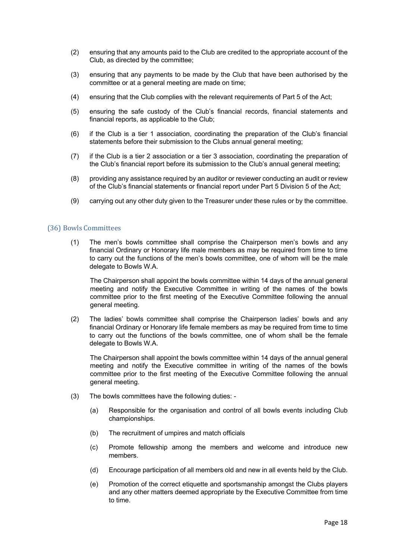- (2) ensuring that any amounts paid to the Club are credited to the appropriate account of the Club, as directed by the committee;
- (3) ensuring that any payments to be made by the Club that have been authorised by the committee or at a general meeting are made on time;
- (4) ensuring that the Club complies with the relevant requirements of Part 5 of the Act;
- (5) ensuring the safe custody of the Club's financial records, financial statements and financial reports, as applicable to the Club;
- (6) if the Club is a tier 1 association, coordinating the preparation of the Club's financial statements before their submission to the Clubs annual general meeting;
- (7) if the Club is a tier 2 association or a tier 3 association, coordinating the preparation of the Club's financial report before its submission to the Club's annual general meeting;
- (8) providing any assistance required by an auditor or reviewer conducting an audit or review of the Club's financial statements or financial report under Part 5 Division 5 of the Act;
- (9) carrying out any other duty given to the Treasurer under these rules or by the committee.

#### (36) Bowls Committees

(1) The men's bowls committee shall comprise the Chairperson men's bowls and any financial Ordinary or Honorary life male members as may be required from time to time to carry out the functions of the men's bowls committee, one of whom will be the male delegate to Bowls W.A.

The Chairperson shall appoint the bowls committee within 14 days of the annual general meeting and notify the Executive Committee in writing of the names of the bowls committee prior to the first meeting of the Executive Committee following the annual general meeting.

(2) The ladies' bowls committee shall comprise the Chairperson ladies' bowls and any financial Ordinary or Honorary life female members as may be required from time to time to carry out the functions of the bowls committee, one of whom shall be the female delegate to Bowls W.A.

The Chairperson shall appoint the bowls committee within 14 days of the annual general meeting and notify the Executive committee in writing of the names of the bowls committee prior to the first meeting of the Executive Committee following the annual general meeting.

- (3) The bowls committees have the following duties:
	- (a) Responsible for the organisation and control of all bowls events including Club championships.
	- (b) The recruitment of umpires and match officials
	- (c) Promote fellowship among the members and welcome and introduce new members.
	- (d) Encourage participation of all members old and new in all events held by the Club.
	- (e) Promotion of the correct etiquette and sportsmanship amongst the Clubs players and any other matters deemed appropriate by the Executive Committee from time to time.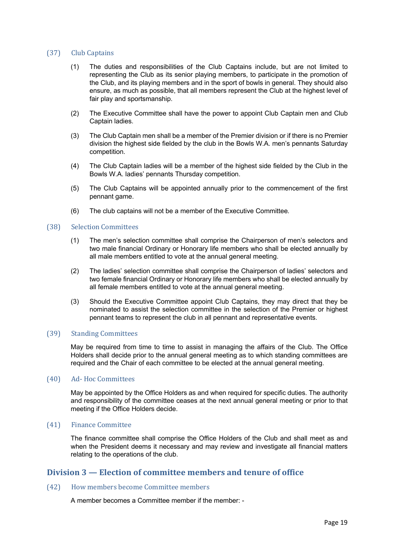#### (37) Club Captains

- (1) The duties and responsibilities of the Club Captains include, but are not limited to representing the Club as its senior playing members, to participate in the promotion of the Club, and its playing members and in the sport of bowls in general. They should also ensure, as much as possible, that all members represent the Club at the highest level of fair play and sportsmanship.
- (2) The Executive Committee shall have the power to appoint Club Captain men and Club Captain ladies.
- (3) The Club Captain men shall be a member of the Premier division or if there is no Premier division the highest side fielded by the club in the Bowls W.A. men's pennants Saturday competition.
- (4) The Club Captain ladies will be a member of the highest side fielded by the Club in the Bowls W.A. ladies' pennants Thursday competition.
- (5) The Club Captains will be appointed annually prior to the commencement of the first pennant game.
- (6) The club captains will not be a member of the Executive Committee*.*

#### (38) Selection Committees

- (1) The men's selection committee shall comprise the Chairperson of men's selectors and two male financial Ordinary or Honorary life members who shall be elected annually by all male members entitled to vote at the annual general meeting.
- (2) The ladies' selection committee shall comprise the Chairperson of ladies' selectors and two female financial Ordinary or Honorary life members who shall be elected annually by all female members entitled to vote at the annual general meeting.
- (3) Should the Executive Committee appoint Club Captains, they may direct that they be nominated to assist the selection committee in the selection of the Premier or highest pennant teams to represent the club in all pennant and representative events.

#### (39) Standing Committees

May be required from time to time to assist in managing the affairs of the Club. The Office Holders shall decide prior to the annual general meeting as to which standing committees are required and the Chair of each committee to be elected at the annual general meeting.

#### (40) Ad- Hoc Committees

May be appointed by the Office Holders as and when required for specific duties. The authority and responsibility of the committee ceases at the next annual general meeting or prior to that meeting if the Office Holders decide.

#### (41) Finance Committee

The finance committee shall comprise the Office Holders of the Club and shall meet as and when the President deems it necessary and may review and investigate all financial matters relating to the operations of the club.

## **Division 3 — Election of committee members and tenure of office**

## (42) How members become Committee members

A member becomes a Committee member if the member: -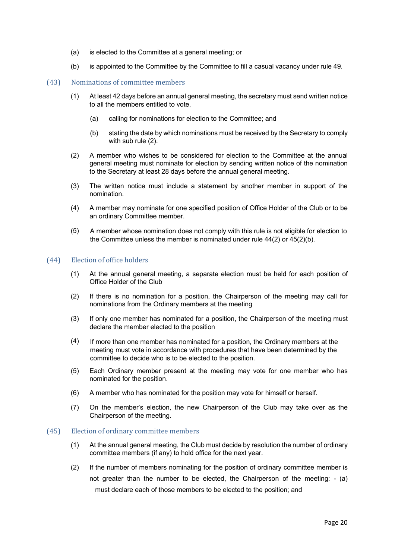- (a) is elected to the Committee at a general meeting; or
- (b) is appointed to the Committee by the Committee to fill a casual vacancy under rule 49.

## (43) Nominations of committee members

- (1) At least 42 days before an annual general meeting, the secretary must send written notice to all the members entitled to vote,
	- (a) calling for nominations for election to the Committee; and
	- (b) stating the date by which nominations must be received by the Secretary to comply with sub rule (2).
- (2) A member who wishes to be considered for election to the Committee at the annual general meeting must nominate for election by sending written notice of the nomination to the Secretary at least 28 days before the annual general meeting.
- (3) The written notice must include a statement by another member in support of the nomination.
- (4) A member may nominate for one specified position of Office Holder of the Club or to be an ordinary Committee member.
- (5) A member whose nomination does not comply with this rule is not eligible for election to the Committee unless the member is nominated under rule 44(2) or 45(2)(b).

#### (44) Election of office holders

- (1) At the annual general meeting, a separate election must be held for each position of Office Holder of the Club
- (2) If there is no nomination for a position, the Chairperson of the meeting may call for nominations from the Ordinary members at the meeting
- (3) If only one member has nominated for a position, the Chairperson of the meeting must declare the member elected to the position
- (4) If more than one member has nominated for a position, the Ordinary members at the meeting must vote in accordance with procedures that have been determined by the committee to decide who is to be elected to the position.
- (5) Each Ordinary member present at the meeting may vote for one member who has nominated for the position.
- (6) A member who has nominated for the position may vote for himself or herself.
- (7) On the member's election, the new Chairperson of the Club may take over as the Chairperson of the meeting.

#### (45) Election of ordinary committee members

- (1) At the annual general meeting, the Club must decide by resolution the number of ordinary committee members (if any) to hold office for the next year.
- (2) If the number of members nominating for the position of ordinary committee member is not greater than the number to be elected, the Chairperson of the meeting: - (a) must declare each of those members to be elected to the position; and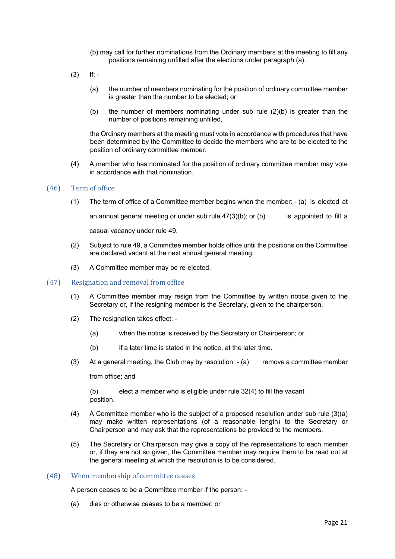- (b) may call for further nominations from the Ordinary members at the meeting to fill any positions remaining unfilled after the elections under paragraph (a).
- $(3)$  If: -
	- (a) the number of members nominating for the position of ordinary committee member is greater than the number to be elected; or
	- (b) the number of members nominating under sub rule  $(2)(b)$  is greater than the number of positions remaining unfilled,

the Ordinary members at the meeting must vote in accordance with procedures that have been determined by the Committee to decide the members who are to be elected to the position of ordinary committee member.

(4) A member who has nominated for the position of ordinary committee member may vote in accordance with that nomination.

#### (46) Term of office

(1) The term of office of a Committee member begins when the member: - (a) is elected at

an annual general meeting or under sub rule  $47(3)(b)$ ; or (b) is appointed to fill a

casual vacancy under rule 49.

- (2) Subject to rule 49, a Committee member holds office until the positions on the Committee are declared vacant at the next annual general meeting.
- (3) A Committee member may be re-elected.
- (47) Resignation and removal from office
	- (1) A Committee member may resign from the Committee by written notice given to the Secretary or, if the resigning member is the Secretary, given to the chairperson.
	- (2) The resignation takes effect:
		- (a) when the notice is received by the Secretary or Chairperson; or
		- (b) if a later time is stated in the notice, at the later time.
	- (3) At a general meeting, the Club may by resolution: (a) remove a committee member

from office; and

(b) elect a member who is eligible under rule 32(4) to fill the vacant position.

- (4) A Committee member who is the subject of a proposed resolution under sub rule  $(3)(a)$ may make written representations (of a reasonable length) to the Secretary or Chairperson and may ask that the representations be provided to the members.
- (5) The Secretary or Chairperson may give a copy of the representations to each member or, if they are not so given, the Committee member may require them to be read out at the general meeting at which the resolution is to be considered.

#### (48) When membership of committee ceases

A person ceases to be a Committee member if the person: -

(a) dies or otherwise ceases to be a member; or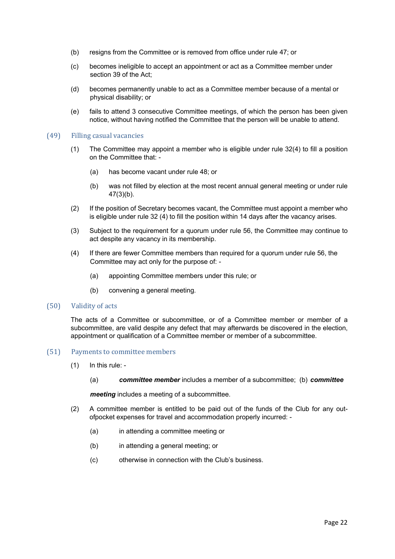- (b) resigns from the Committee or is removed from office under rule 47; or
- (c) becomes ineligible to accept an appointment or act as a Committee member under section 39 of the Act;
- (d) becomes permanently unable to act as a Committee member because of a mental or physical disability; or
- (e) fails to attend 3 consecutive Committee meetings, of which the person has been given notice, without having notified the Committee that the person will be unable to attend.

#### (49) Filling casual vacancies

- (1) The Committee may appoint a member who is eligible under rule 32(4) to fill a position on the Committee that: -
	- (a) has become vacant under rule 48; or
	- (b) was not filled by election at the most recent annual general meeting or under rule 47(3)(b).
- (2) If the position of Secretary becomes vacant, the Committee must appoint a member who is eligible under rule 32 (4) to fill the position within 14 days after the vacancy arises.
- (3) Subject to the requirement for a quorum under rule 56, the Committee may continue to act despite any vacancy in its membership.
- (4) If there are fewer Committee members than required for a quorum under rule 56, the Committee may act only for the purpose of: -
	- (a) appointing Committee members under this rule; or
	- (b) convening a general meeting.

#### (50) Validity of acts

The acts of a Committee or subcommittee, or of a Committee member or member of a subcommittee, are valid despite any defect that may afterwards be discovered in the election, appointment or qualification of a Committee member or member of a subcommittee.

#### (51) Payments to committee members

- (1) In this rule:
	- (a) *committee member* includes a member of a subcommittee; (b) *committee*

*meeting* includes a meeting of a subcommittee.

- (2) A committee member is entitled to be paid out of the funds of the Club for any outofpocket expenses for travel and accommodation properly incurred: -
	- (a) in attending a committee meeting or
	- (b) in attending a general meeting; or
	- (c) otherwise in connection with the Club's business.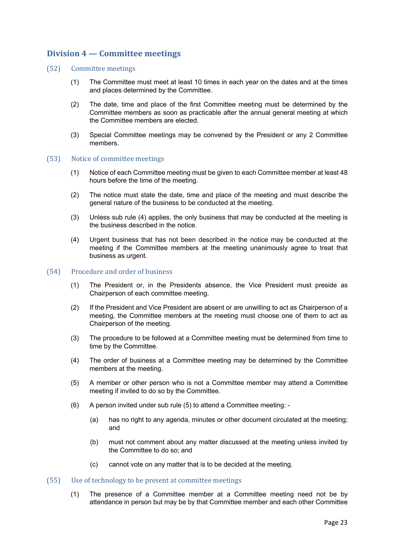# **Division 4 — Committee meetings**

- (52) Committee meetings
	- (1) The Committee must meet at least 10 times in each year on the dates and at the times and places determined by the Committee.
	- (2) The date, time and place of the first Committee meeting must be determined by the Committee members as soon as practicable after the annual general meeting at which the Committee members are elected.
	- (3) Special Committee meetings may be convened by the President or any 2 Committee members.

#### (53) Notice of committee meetings

- (1) Notice of each Committee meeting must be given to each Committee member at least 48 hours before the time of the meeting.
- (2) The notice must state the date, time and place of the meeting and must describe the general nature of the business to be conducted at the meeting.
- (3) Unless sub rule (4) applies, the only business that may be conducted at the meeting is the business described in the notice.
- (4) Urgent business that has not been described in the notice may be conducted at the meeting if the Committee members at the meeting unanimously agree to treat that business as urgent.

#### (54) Procedure and order of business

- (1) The President or, in the Presidents absence, the Vice President must preside as Chairperson of each committee meeting.
- (2) If the President and Vice President are absent or are unwilling to act as Chairperson of a meeting, the Committee members at the meeting must choose one of them to act as Chairperson of the meeting.
- (3) The procedure to be followed at a Committee meeting must be determined from time to time by the Committee.
- (4) The order of business at a Committee meeting may be determined by the Committee members at the meeting.
- (5) A member or other person who is not a Committee member may attend a Committee meeting if invited to do so by the Committee.
- (6) A person invited under sub rule (5) to attend a Committee meeting:
	- (a) has no right to any agenda, minutes or other document circulated at the meeting; and
	- (b) must not comment about any matter discussed at the meeting unless invited by the Committee to do so; and
	- (c) cannot vote on any matter that is to be decided at the meeting.
- (55) Use of technology to be present at committee meetings
	- (1) The presence of a Committee member at a Committee meeting need not be by attendance in person but may be by that Committee member and each other Committee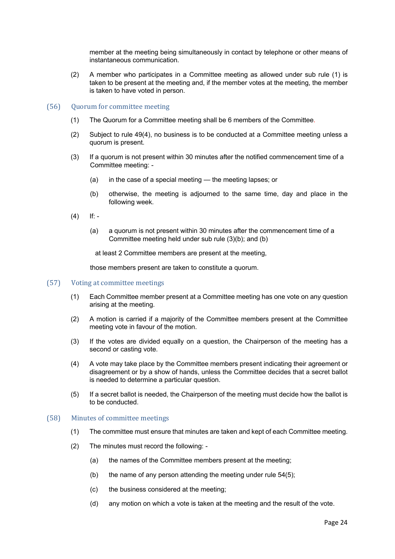member at the meeting being simultaneously in contact by telephone or other means of instantaneous communication.

(2) A member who participates in a Committee meeting as allowed under sub rule (1) is taken to be present at the meeting and, if the member votes at the meeting, the member is taken to have voted in person.

#### (56) Quorum for committee meeting

- (1) The Quorum for a Committee meeting shall be 6 members of the Committee.
- (2) Subject to rule 49(4), no business is to be conducted at a Committee meeting unless a quorum is present.
- (3) If a quorum is not present within 30 minutes after the notified commencement time of a Committee meeting: -
	- (a) in the case of a special meeting the meeting lapses; or
	- (b) otherwise, the meeting is adjourned to the same time, day and place in the following week.
- $(4)$  If: -
	- (a) a quorum is not present within 30 minutes after the commencement time of a Committee meeting held under sub rule (3)(b); and (b)

at least 2 Committee members are present at the meeting,

those members present are taken to constitute a quorum.

- (57) Voting at committee meetings
	- (1) Each Committee member present at a Committee meeting has one vote on any question arising at the meeting.
	- (2) A motion is carried if a majority of the Committee members present at the Committee meeting vote in favour of the motion.
	- (3) If the votes are divided equally on a question, the Chairperson of the meeting has a second or casting vote.
	- (4) A vote may take place by the Committee members present indicating their agreement or disagreement or by a show of hands, unless the Committee decides that a secret ballot is needed to determine a particular question.
	- (5) If a secret ballot is needed, the Chairperson of the meeting must decide how the ballot is to be conducted.

#### (58) Minutes of committee meetings

- (1) The committee must ensure that minutes are taken and kept of each Committee meeting.
- (2) The minutes must record the following:
	- (a) the names of the Committee members present at the meeting;
	- (b) the name of any person attending the meeting under rule 54(5);
	- (c) the business considered at the meeting;
	- (d) any motion on which a vote is taken at the meeting and the result of the vote.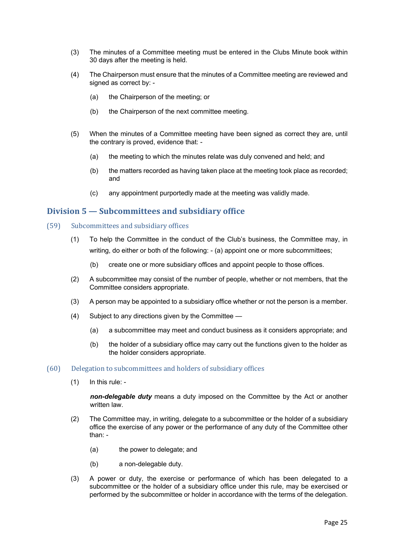- (3) The minutes of a Committee meeting must be entered in the Clubs Minute book within 30 days after the meeting is held.
- (4) The Chairperson must ensure that the minutes of a Committee meeting are reviewed and signed as correct by: -
	- (a) the Chairperson of the meeting; or
	- (b) the Chairperson of the next committee meeting.
- (5) When the minutes of a Committee meeting have been signed as correct they are, until the contrary is proved, evidence that: -
	- (a) the meeting to which the minutes relate was duly convened and held; and
	- (b) the matters recorded as having taken place at the meeting took place as recorded; and
	- (c) any appointment purportedly made at the meeting was validly made.

# **Division 5 — Subcommittees and subsidiary office**

- (59) Subcommittees and subsidiary offices
	- (1) To help the Committee in the conduct of the Club's business, the Committee may, in writing, do either or both of the following: - (a) appoint one or more subcommittees;
		- (b) create one or more subsidiary offices and appoint people to those offices.
	- (2) A subcommittee may consist of the number of people, whether or not members, that the Committee considers appropriate.
	- (3) A person may be appointed to a subsidiary office whether or not the person is a member.
	- (4) Subject to any directions given by the Committee
		- (a) a subcommittee may meet and conduct business as it considers appropriate; and
		- (b) the holder of a subsidiary office may carry out the functions given to the holder as the holder considers appropriate.

#### $(60)$  Delegation to subcommittees and holders of subsidiary offices

(1) In this rule: -

*non-delegable duty* means a duty imposed on the Committee by the Act or another written law.

- (2) The Committee may, in writing, delegate to a subcommittee or the holder of a subsidiary office the exercise of any power or the performance of any duty of the Committee other than: -
	- (a) the power to delegate; and
	- (b) a non-delegable duty.
- (3) A power or duty, the exercise or performance of which has been delegated to a subcommittee or the holder of a subsidiary office under this rule, may be exercised or performed by the subcommittee or holder in accordance with the terms of the delegation.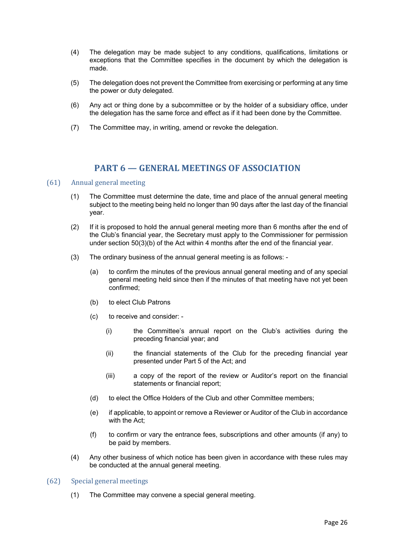- (4) The delegation may be made subject to any conditions, qualifications, limitations or exceptions that the Committee specifies in the document by which the delegation is made.
- (5) The delegation does not prevent the Committee from exercising or performing at any time the power or duty delegated.
- (6) Any act or thing done by a subcommittee or by the holder of a subsidiary office, under the delegation has the same force and effect as if it had been done by the Committee.
- (7) The Committee may, in writing, amend or revoke the delegation.

# **PART 6 – GENERAL MEETINGS OF ASSOCIATION**

#### (61) Annual general meeting

- (1) The Committee must determine the date, time and place of the annual general meeting subject to the meeting being held no longer than 90 days after the last day of the financial year.
- (2) If it is proposed to hold the annual general meeting more than 6 months after the end of the Club's financial year, the Secretary must apply to the Commissioner for permission under section 50(3)(b) of the Act within 4 months after the end of the financial year.
- (3) The ordinary business of the annual general meeting is as follows:
	- (a) to confirm the minutes of the previous annual general meeting and of any special general meeting held since then if the minutes of that meeting have not yet been confirmed;
	- (b) to elect Club Patrons
	- (c) to receive and consider:
		- (i) the Committee's annual report on the Club's activities during the preceding financial year; and
		- (ii) the financial statements of the Club for the preceding financial year presented under Part 5 of the Act; and
		- (iii) a copy of the report of the review or Auditor's report on the financial statements or financial report;
	- (d) to elect the Office Holders of the Club and other Committee members;
	- (e) if applicable, to appoint or remove a Reviewer or Auditor of the Club in accordance with the Act:
	- (f) to confirm or vary the entrance fees, subscriptions and other amounts (if any) to be paid by members.
- (4) Any other business of which notice has been given in accordance with these rules may be conducted at the annual general meeting.

#### (62) Special general meetings

(1) The Committee may convene a special general meeting.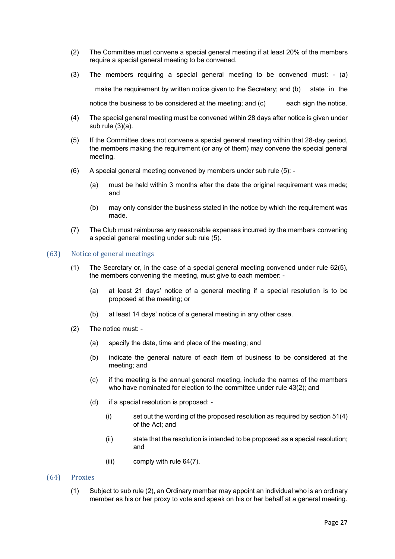- (2) The Committee must convene a special general meeting if at least 20% of the members require a special general meeting to be convened.
- (3) The members requiring a special general meeting to be convened must: (a) make the requirement by written notice given to the Secretary; and (b) state in the notice the business to be considered at the meeting; and (c) each sign the notice.
- (4) The special general meeting must be convened within 28 days after notice is given under sub rule (3)(a).
- (5) If the Committee does not convene a special general meeting within that 28-day period, the members making the requirement (or any of them) may convene the special general meeting.
- (6) A special general meeting convened by members under sub rule (5):
	- (a) must be held within 3 months after the date the original requirement was made; and
	- (b) may only consider the business stated in the notice by which the requirement was made.
- (7) The Club must reimburse any reasonable expenses incurred by the members convening a special general meeting under sub rule (5).

#### (63) Notice of general meetings

- (1) The Secretary or, in the case of a special general meeting convened under rule 62(5), the members convening the meeting, must give to each member: -
	- (a) at least 21 days' notice of a general meeting if a special resolution is to be proposed at the meeting; or
	- (b) at least 14 days' notice of a general meeting in any other case.
- (2) The notice must:
	- (a) specify the date, time and place of the meeting; and
	- (b) indicate the general nature of each item of business to be considered at the meeting; and
	- (c) if the meeting is the annual general meeting, include the names of the members who have nominated for election to the committee under rule 43(2); and
	- (d) if a special resolution is proposed:
		- $(i)$  set out the wording of the proposed resolution as required by section 51(4) of the Act; and
		- (ii) state that the resolution is intended to be proposed as a special resolution; and
		- (iii) comply with rule 64(7).
- (64) Proxies
	- (1) Subject to sub rule (2), an Ordinary member may appoint an individual who is an ordinary member as his or her proxy to vote and speak on his or her behalf at a general meeting.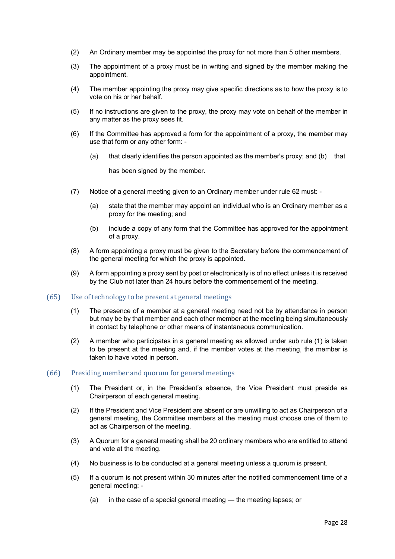- (2) An Ordinary member may be appointed the proxy for not more than 5 other members.
- (3) The appointment of a proxy must be in writing and signed by the member making the appointment.
- (4) The member appointing the proxy may give specific directions as to how the proxy is to vote on his or her behalf.
- (5) If no instructions are given to the proxy, the proxy may vote on behalf of the member in any matter as the proxy sees fit.
- (6) If the Committee has approved a form for the appointment of a proxy, the member may use that form or any other form: -
	- (a) that clearly identifies the person appointed as the member's proxy; and (b) that

has been signed by the member.

- (7) Notice of a general meeting given to an Ordinary member under rule 62 must:
	- (a) state that the member may appoint an individual who is an Ordinary member as a proxy for the meeting; and
	- (b) include a copy of any form that the Committee has approved for the appointment of a proxy.
- (8) A form appointing a proxy must be given to the Secretary before the commencement of the general meeting for which the proxy is appointed.
- (9) A form appointing a proxy sent by post or electronically is of no effect unless it is received by the Club not later than 24 hours before the commencement of the meeting.
- (65) Use of technology to be present at general meetings
	- (1) The presence of a member at a general meeting need not be by attendance in person but may be by that member and each other member at the meeting being simultaneously in contact by telephone or other means of instantaneous communication.
	- (2) A member who participates in a general meeting as allowed under sub rule (1) is taken to be present at the meeting and, if the member votes at the meeting, the member is taken to have voted in person.

#### (66) Presiding member and quorum for general meetings

- (1) The President or, in the President's absence, the Vice President must preside as Chairperson of each general meeting.
- (2) If the President and Vice President are absent or are unwilling to act as Chairperson of a general meeting, the Committee members at the meeting must choose one of them to act as Chairperson of the meeting.
- (3) A Quorum for a general meeting shall be 20 ordinary members who are entitled to attend and vote at the meeting.
- (4) No business is to be conducted at a general meeting unless a quorum is present.
- (5) If a quorum is not present within 30 minutes after the notified commencement time of a general meeting: -
	- (a) in the case of a special general meeting the meeting lapses; or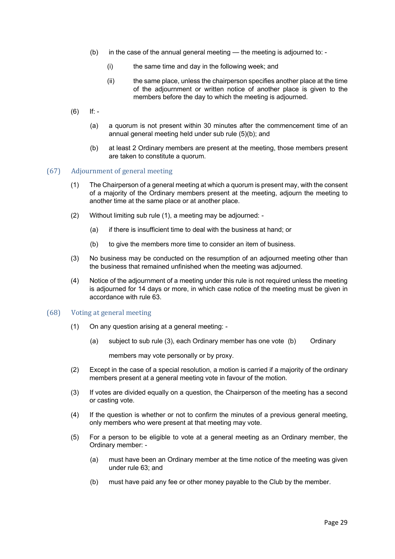- (b) in the case of the annual general meeting the meeting is adjourned to:
	- (i) the same time and day in the following week; and
	- (ii) the same place, unless the chairperson specifies another place at the time of the adjournment or written notice of another place is given to the members before the day to which the meeting is adjourned.
- $(6)$  If: -
	- (a) a quorum is not present within 30 minutes after the commencement time of an annual general meeting held under sub rule (5)(b); and
	- (b) at least 2 Ordinary members are present at the meeting, those members present are taken to constitute a quorum.

#### (67) Adjournment of general meeting

- (1) The Chairperson of a general meeting at which a quorum is present may, with the consent of a majority of the Ordinary members present at the meeting, adjourn the meeting to another time at the same place or at another place.
- (2) Without limiting sub rule (1), a meeting may be adjourned:
	- (a) if there is insufficient time to deal with the business at hand; or
	- (b) to give the members more time to consider an item of business.
- (3) No business may be conducted on the resumption of an adjourned meeting other than the business that remained unfinished when the meeting was adjourned.
- (4) Notice of the adjournment of a meeting under this rule is not required unless the meeting is adjourned for 14 days or more, in which case notice of the meeting must be given in accordance with rule 63.

#### (68) Voting at general meeting

- (1) On any question arising at a general meeting:
	- (a) subject to sub rule (3), each Ordinary member has one vote (b) Ordinary

members may vote personally or by proxy.

- (2) Except in the case of a special resolution, a motion is carried if a majority of the ordinary members present at a general meeting vote in favour of the motion.
- (3) If votes are divided equally on a question, the Chairperson of the meeting has a second or casting vote.
- (4) If the question is whether or not to confirm the minutes of a previous general meeting, only members who were present at that meeting may vote.
- (5) For a person to be eligible to vote at a general meeting as an Ordinary member, the Ordinary member: -
	- (a) must have been an Ordinary member at the time notice of the meeting was given under rule 63; and
	- (b) must have paid any fee or other money payable to the Club by the member.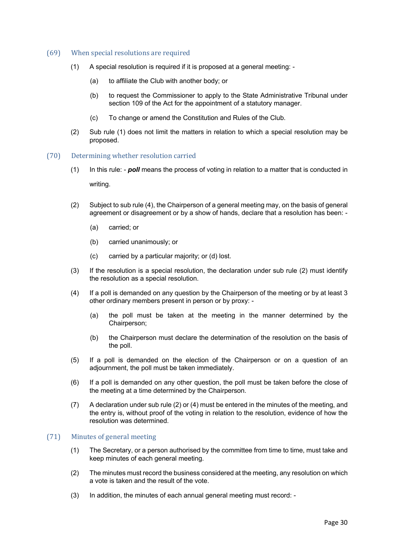#### (69) When special resolutions are required

- (1) A special resolution is required if it is proposed at a general meeting:
	- (a) to affiliate the Club with another body; or
	- (b) to request the Commissioner to apply to the State Administrative Tribunal under section 109 of the Act for the appointment of a statutory manager.
	- (c) To change or amend the Constitution and Rules of the Club.
- (2) Sub rule (1) does not limit the matters in relation to which a special resolution may be proposed.
- (70) Determining whether resolution carried
	- (1) In this rule: *poll* means the process of voting in relation to a matter that is conducted in

writing.

- (2) Subject to sub rule (4), the Chairperson of a general meeting may, on the basis of general agreement or disagreement or by a show of hands, declare that a resolution has been: -
	- (a) carried; or
	- (b) carried unanimously; or
	- (c) carried by a particular majority; or (d) lost.
- (3) If the resolution is a special resolution, the declaration under sub rule (2) must identify the resolution as a special resolution.
- (4) If a poll is demanded on any question by the Chairperson of the meeting or by at least 3 other ordinary members present in person or by proxy: -
	- (a) the poll must be taken at the meeting in the manner determined by the Chairperson;
	- (b) the Chairperson must declare the determination of the resolution on the basis of the poll.
- (5) If a poll is demanded on the election of the Chairperson or on a question of an adjournment, the poll must be taken immediately.
- (6) If a poll is demanded on any other question, the poll must be taken before the close of the meeting at a time determined by the Chairperson.
- (7) A declaration under sub rule (2) or (4) must be entered in the minutes of the meeting, and the entry is, without proof of the voting in relation to the resolution, evidence of how the resolution was determined.

#### (71) Minutes of general meeting

- (1) The Secretary, or a person authorised by the committee from time to time, must take and keep minutes of each general meeting.
- (2) The minutes must record the business considered at the meeting, any resolution on which a vote is taken and the result of the vote.
- (3) In addition, the minutes of each annual general meeting must record: -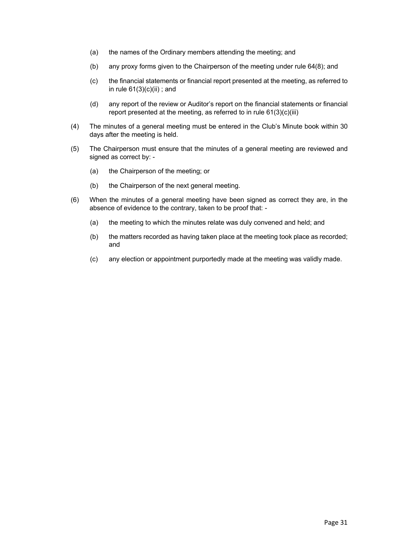- (a) the names of the Ordinary members attending the meeting; and
- (b) any proxy forms given to the Chairperson of the meeting under rule 64(8); and
- (c) the financial statements or financial report presented at the meeting, as referred to in rule  $61(3)(c)(ii)$ ; and
- (d) any report of the review or Auditor's report on the financial statements or financial report presented at the meeting, as referred to in rule 61(3)(c)(iii)
- (4) The minutes of a general meeting must be entered in the Club's Minute book within 30 days after the meeting is held.
- (5) The Chairperson must ensure that the minutes of a general meeting are reviewed and signed as correct by: -
	- (a) the Chairperson of the meeting; or
	- (b) the Chairperson of the next general meeting.
- (6) When the minutes of a general meeting have been signed as correct they are, in the absence of evidence to the contrary, taken to be proof that: -
	- (a) the meeting to which the minutes relate was duly convened and held; and
	- (b) the matters recorded as having taken place at the meeting took place as recorded; and
	- (c) any election or appointment purportedly made at the meeting was validly made.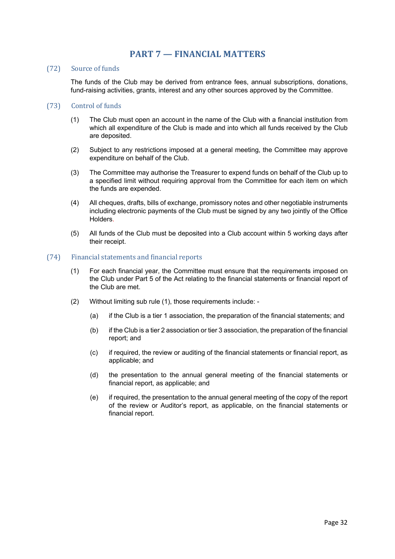# **PART 7 – FINANCIAL MATTERS**

#### (72) Source of funds

The funds of the Club may be derived from entrance fees, annual subscriptions, donations, fund-raising activities, grants, interest and any other sources approved by the Committee.

### (73) Control of funds

- (1) The Club must open an account in the name of the Club with a financial institution from which all expenditure of the Club is made and into which all funds received by the Club are deposited.
- (2) Subject to any restrictions imposed at a general meeting, the Committee may approve expenditure on behalf of the Club.
- (3) The Committee may authorise the Treasurer to expend funds on behalf of the Club up to a specified limit without requiring approval from the Committee for each item on which the funds are expended.
- (4) All cheques, drafts, bills of exchange, promissory notes and other negotiable instruments including electronic payments of the Club must be signed by any two jointly of the Office Holders.
- (5) All funds of the Club must be deposited into a Club account within 5 working days after their receipt.

#### (74) Financial statements and financial reports

- (1) For each financial year, the Committee must ensure that the requirements imposed on the Club under Part 5 of the Act relating to the financial statements or financial report of the Club are met.
- (2) Without limiting sub rule (1), those requirements include:
	- (a) if the Club is a tier 1 association, the preparation of the financial statements; and
	- (b) if the Club is a tier 2 association or tier 3 association, the preparation of the financial report; and
	- (c) if required, the review or auditing of the financial statements or financial report, as applicable; and
	- (d) the presentation to the annual general meeting of the financial statements or financial report, as applicable; and
	- (e) if required, the presentation to the annual general meeting of the copy of the report of the review or Auditor's report, as applicable, on the financial statements or financial report.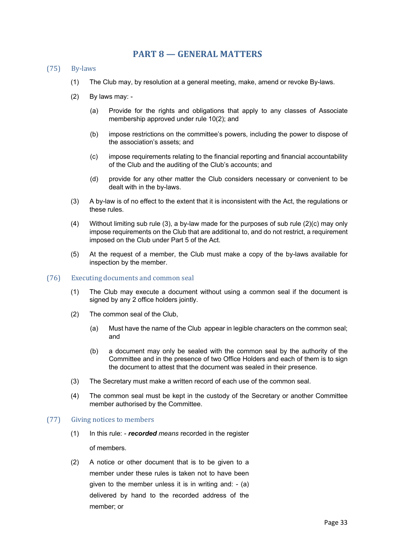# **PART 8 – GENERAL MATTERS**

- (75) By-laws
	- (1) The Club may, by resolution at a general meeting, make, amend or revoke By-laws.
	- (2) By laws may:
		- (a) Provide for the rights and obligations that apply to any classes of Associate membership approved under rule 10(2); and
		- (b) impose restrictions on the committee's powers, including the power to dispose of the association's assets; and
		- (c) impose requirements relating to the financial reporting and financial accountability of the Club and the auditing of the Club's accounts; and
		- (d) provide for any other matter the Club considers necessary or convenient to be dealt with in the by-laws.
	- (3) A by-law is of no effect to the extent that it is inconsistent with the Act, the regulations or these rules.
	- (4) Without limiting sub rule (3), a by-law made for the purposes of sub rule (2)(c) may only impose requirements on the Club that are additional to, and do not restrict, a requirement imposed on the Club under Part 5 of the Act.
	- (5) At the request of a member, the Club must make a copy of the by-laws available for inspection by the member.
- (76) Executing documents and common seal
	- (1) The Club may execute a document without using a common seal if the document is signed by any 2 office holders jointly.
	- (2) The common seal of the Club,
		- (a) Must have the name of the Club appear in legible characters on the common seal; and
		- (b) a document may only be sealed with the common seal by the authority of the Committee and in the presence of two Office Holders and each of them is to sign the document to attest that the document was sealed in their presence.
	- (3) The Secretary must make a written record of each use of the common seal.
	- (4) The common seal must be kept in the custody of the Secretary or another Committee member authorised by the Committee.

#### (77) Giving notices to members

- (1) In this rule: *recorded means* recorded in the register of members.
- (2) A notice or other document that is to be given to a member under these rules is taken not to have been given to the member unless it is in writing and: - (a) delivered by hand to the recorded address of the member; or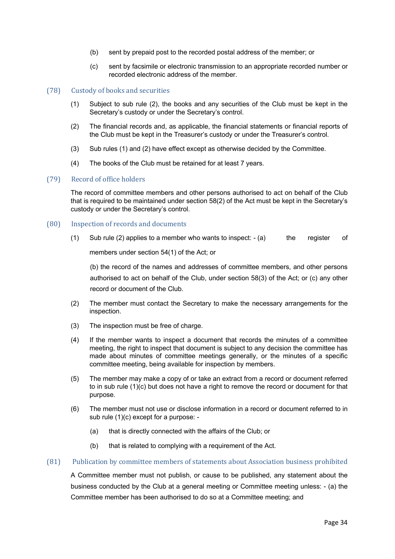- (b) sent by prepaid post to the recorded postal address of the member; or
- (c) sent by facsimile or electronic transmission to an appropriate recorded number or recorded electronic address of the member.

#### (78) Custody of books and securities

- (1) Subject to sub rule (2), the books and any securities of the Club must be kept in the Secretary's custody or under the Secretary's control.
- (2) The financial records and, as applicable, the financial statements or financial reports of the Club must be kept in the Treasurer's custody or under the Treasurer's control.
- (3) Sub rules (1) and (2) have effect except as otherwise decided by the Committee.
- (4) The books of the Club must be retained for at least 7 years.

#### (79) Record of office holders

The record of committee members and other persons authorised to act on behalf of the Club that is required to be maintained under section 58(2) of the Act must be kept in the Secretary's custody or under the Secretary's control.

#### (80) Inspection of records and documents

(1) Sub rule (2) applies to a member who wants to inspect:  $-(a)$  the register of

members under section 54(1) of the Act; or

(b) the record of the names and addresses of committee members, and other persons authorised to act on behalf of the Club, under section 58(3) of the Act; or (c) any other record or document of the Club.

- (2) The member must contact the Secretary to make the necessary arrangements for the inspection.
- (3) The inspection must be free of charge.
- (4) If the member wants to inspect a document that records the minutes of a committee meeting, the right to inspect that document is subject to any decision the committee has made about minutes of committee meetings generally, or the minutes of a specific committee meeting, being available for inspection by members.
- (5) The member may make a copy of or take an extract from a record or document referred to in sub rule (1)(c) but does not have a right to remove the record or document for that purpose.
- (6) The member must not use or disclose information in a record or document referred to in sub rule (1)(c) except for a purpose: -
	- (a) that is directly connected with the affairs of the Club; or
	- (b) that is related to complying with a requirement of the Act.

## (81) Publication by committee members of statements about Association business prohibited

A Committee member must not publish, or cause to be published, any statement about the business conducted by the Club at a general meeting or Committee meeting unless: - (a) the Committee member has been authorised to do so at a Committee meeting; and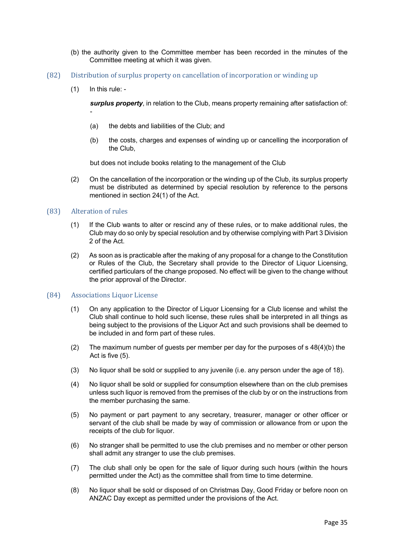- (b) the authority given to the Committee member has been recorded in the minutes of the Committee meeting at which it was given.
- (82) Distribution of surplus property on cancellation of incorporation or winding up
	- (1) In this rule: -

-

*surplus property*, in relation to the Club, means property remaining after satisfaction of:

- (a) the debts and liabilities of the Club; and
- (b) the costs, charges and expenses of winding up or cancelling the incorporation of the Club,

but does not include books relating to the management of the Club

(2) On the cancellation of the incorporation or the winding up of the Club, its surplus property must be distributed as determined by special resolution by reference to the persons mentioned in section 24(1) of the Act.

#### (83) Alteration of rules

- (1) If the Club wants to alter or rescind any of these rules, or to make additional rules, the Club may do so only by special resolution and by otherwise complying with Part 3 Division 2 of the Act.
- (2) As soon as is practicable after the making of any proposal for a change to the Constitution or Rules of the Club, the Secretary shall provide to the Director of Liquor Licensing, certified particulars of the change proposed. No effect will be given to the change without the prior approval of the Director.

#### (84) Associations Liquor License

- (1) On any application to the Director of Liquor Licensing for a Club license and whilst the Club shall continue to hold such license, these rules shall be interpreted in all things as being subject to the provisions of the Liquor Act and such provisions shall be deemed to be included in and form part of these rules.
- (2) The maximum number of guests per member per day for the purposes of s 48(4)(b) the Act is five (5).
- (3) No liquor shall be sold or supplied to any juvenile (i.e. any person under the age of 18).
- (4) No liquor shall be sold or supplied for consumption elsewhere than on the club premises unless such liquor is removed from the premises of the club by or on the instructions from the member purchasing the same.
- (5) No payment or part payment to any secretary, treasurer, manager or other officer or servant of the club shall be made by way of commission or allowance from or upon the receipts of the club for liquor.
- (6) No stranger shall be permitted to use the club premises and no member or other person shall admit any stranger to use the club premises.
- (7) The club shall only be open for the sale of liquor during such hours (within the hours permitted under the Act) as the committee shall from time to time determine.
- (8) No liquor shall be sold or disposed of on Christmas Day, Good Friday or before noon on ANZAC Day except as permitted under the provisions of the Act.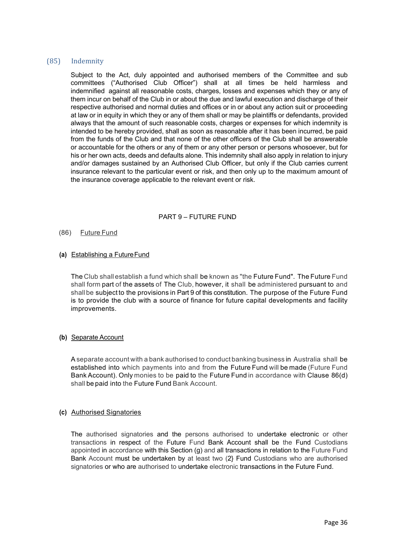## (85) Indemnity

Subject to the Act, duly appointed and authorised members of the Committee and sub committees ("Authorised Club Officer") shall at all times be held harmless and indemnified against all reasonable costs, charges, losses and expenses which they or any of them incur on behalf of the Club in or about the due and lawful execution and discharge of their respective authorised and normal duties and offices or in or about any action suit or proceeding at law or in equity in which they or any of them shall or may be plaintiffs or defendants, provided always that the amount of such reasonable costs, charges or expenses for which indemnity is intended to be hereby provided, shall as soon as reasonable after it has been incurred, be paid from the funds of the Club and that none of the other officers of the Club shall be answerable or accountable for the others or any of them or any other person or persons whosoever, but for his or her own acts, deeds and defaults alone. This indemnity shall also apply in relation to injury and/or damages sustained by an Authorised Club Officer, but only if the Club carries current insurance relevant to the particular event or risk, and then only up to the maximum amount of the insurance coverage applicable to the relevant event or risk.

## PART 9 – FUTURE FUND

#### (86) Future Fund

#### **(a)** Establishing a FutureFund

The Club shall establish a fund which shall be known as "the Future Fund". The Future Fund shall form part of the assets of The Club, however, it shall be administered pursuant to and shallbe subject to the provisions in Part 9 of this constitution. The purpose of the Future Fund is to provide the club with a source of finance for future capital developments and facility improvements.

#### **(b)** Separate Account

A separate account with a bank authorised to conduct banking business in Australia shall be established into which payments into and from the Future Fund will be made (Future Fund Bank Account). Only monies to be paid to the Future Fund in accordance with Clause 86(d) shall be paid into the Future Fund Bank Account.

## **(c)** Authorised Signatories

The authorised signatories and the persons authorised to undertake electronic or other transactions in respect of the Future Fund Bank Account shall be the Fund Custodians appointed in accordance with this Section (g) and all transactions in relation to the Future Fund Bank Account must be undertaken by at least two (2} Fund Custodians who are authorised signatories or who are authorised to undertake electronic transactions in the Future Fund.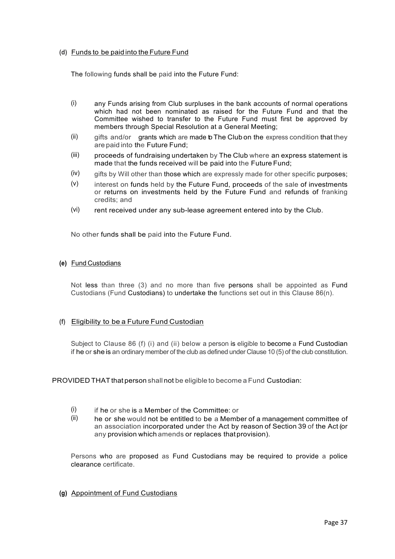### **(d)** Funds to be paid into the Future Fund

The following funds shall be paid into the Future Fund:

- (i) any Funds arising from Club surpluses in the bank accounts of normal operations which had not been nominated as raised for the Future Fund and that the Committee wished to transfer to the Future Fund must first be approved by members through Special Resolution at a General Meeting;
- $(ii)$  gifts and/or grants which are made  $b$  The Club on the express condition that they are paid into the Future Fund;
- (iii) proceeds of fundraising undertaken by The Club where an express statement is made that the funds received will be paid into the Future Fund;
- $(iv)$  gifts by Will other than those which are expressly made for other specific purposes;
- $(v)$  interest on funds held by the Future Fund, proceeds of the sale of investments or returns on investments held by the Future Fund and refunds of franking credits; and
- (vi) rent received under any sub-lease agreement entered into by the Club.

No other funds shall be paid into the Future Fund.

#### **(e)** Fund Custodians

Not less than three (3) and no more than five persons shall be appointed as Fund Custodians (Fund Custodians) to undertake the functions set out in this Clause 86(n).

## **(f)** Eligibility to be a Future Fund Custodian

Subject to Clause 86 (f) (i) and (ii) below a person is eligible to become a Fund Custodian if he or she is an ordinary member of the club as defined under Clause 10 (5) of the club constitution.

PROVIDED THAT that person shall not be eligible to become a Fund Custodian:

- $(i)$  if he or she is a Member of the Committee: or
- (ii) he or she would not be entitled to be a Member of a management committee of an association incorporated under the Act by reason of Section 39 of the Act (or any provision which amends or replaces that provision).

Persons who are proposed as Fund Custodians may be required to provide a police clearance certificate.

**(g)** Appointment of Fund Custodians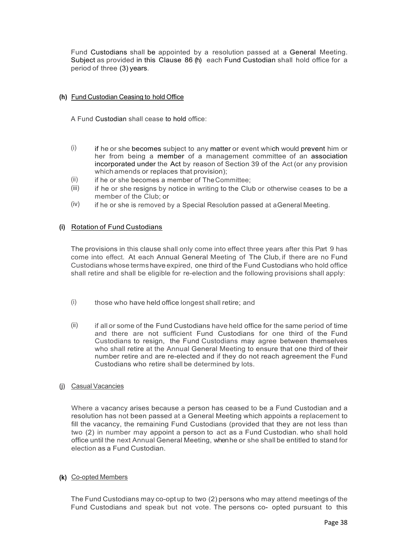Fund Custodians shall be appointed by a resolution passed at a General Meeting. Subject as provided in this Clause 86 (h) each Fund Custodian shall hold office for a period of three (3) years.

## **(h)** Fund Custodian Ceasing to hold Office

A Fund Custodian shall cease to hold office:

- $(i)$  if he or she becomes subject to any matter or event which would prevent him or her from being a member of a management committee of an association incorporated under the Act by reason of Section 39 of the Act (or any provision which amends or replaces that provision);
- (ii) if he or she becomes a member of The Committee;
- $(iii)$  if he or she resigns by notice in writing to the Club or otherwise ceases to be a member of the Club; or
- $(iv)$  if he or she is removed by a Special Resolution passed at aGeneral Meeting.

## **(i)** Rotation of Fund Custodians

The provisions in this clause shall only come into effect three years after this Part 9 has come into effect. At each Annual General Meeting of The Club, if there are no Fund Custodians whose terms have expired, one third of the Fund Custodians who hold office shall retire and shall be eligible for re-election and the following provisions shall apply:

- $(i)$  those who have held office longest shall retire; and
- $(i)$  if all or some of the Fund Custodians have held office for the same period of time and there are not sufficient Fund Custodians for one third of the Fund Custodians to resign, the Fund Custodians may agree between themselves who shall retire at the Annual General Meeting to ensure that one third of their number retire and are re-elected and if they do not reach agreement the Fund Custodians who retire shall be determined by lots.
- **(j)** Casual Vacancies

Where a vacancy arises because a person has ceased to be a Fund Custodian and a resolution has not been passed at a General Meeting which appoints a replacement to fill the vacancy, the remaining Fund Custodians (provided that they are not less than two (2) in number may appoint a person to act as a Fund Custodian. who shall hold office until the next Annual General Meeting, when he or she shall be entitled to stand for election as a Fund Custodian.

## **(k)** Co-opted Members

The Fund Custodians may co-opt up to two (2) persons who may attend meetings of the Fund Custodians and speak but not vote. The persons co- opted pursuant to this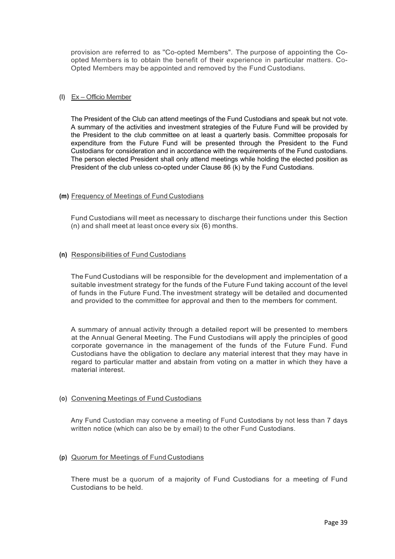provision are referred to as ''Co-opted Members". The purpose of appointing the Coopted Members is to obtain the benefit of their experience in particular matters. Co-Opted Members may be appointed and removed by the Fund Custodians.

#### **(l)** Ex – Officio Member

The President of the Club can attend meetings of the Fund Custodians and speak but not vote. A summary of the activities and investment strategies of the Future Fund will be provided by the President to the club committee on at least a quarterly basis. Committee proposals for expenditure from the Future Fund will be presented through the President to the Fund Custodians for consideration and in accordance with the requirements of the Fund custodians. The person elected President shall only attend meetings while holding the elected position as President of the club unless co-opted under Clause 86 (k) by the Fund Custodians.

#### **(m)** Frequency of Meetings of Fund Custodians

Fund Custodians will meet as necessary to discharge their functions under this Section (n) and shall meet at least once every six {6) months.

#### **(n)** Responsibilities of Fund Custodians

The Fund Custodians will be responsible for the development and implementation of a suitable investment strategy for the funds of the Future Fund taking account of the level of funds in the Future Fund.The investment strategy will be detailed and documented and provided to the committee for approval and then to the members for comment.

A summary of annual activity through a detailed report will be presented to members at the Annual General Meeting. The Fund Custodians will apply the principles of good corporate governance in the management of the funds of the Future Fund. Fund Custodians have the obligation to declare any material interest that they may have in regard to particular matter and abstain from voting on a matter in which they have a material interest.

#### **(o)** Convening Meetings of Fund Custodians

Any Fund Custodian may convene a meeting of Fund Custodians by not less than 7 days written notice (which can also be by email) to the other Fund Custodians.

## **(p)** Quorum for Meetings of FundCustodians

There must be a quorum of a majority of Fund Custodians for a meeting of Fund Custodians to be held.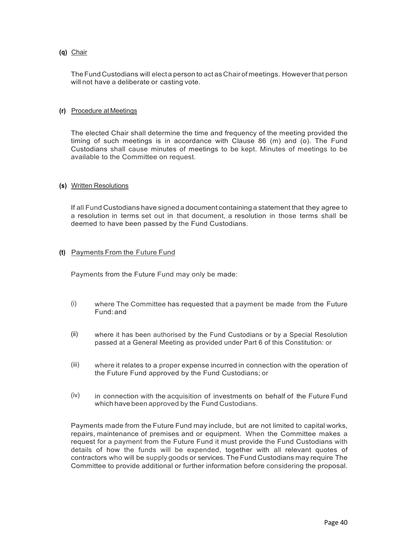## **(q)** Chair

TheFundCustodians will electa person to act as Chair of meetings. However that person will not have a deliberate or casting vote.

#### **(r)** Procedure at Meetings

The elected Chair shall determine the time and frequency of the meeting provided the timing of such meetings is in accordance with Clause 86 (m) and (o). The Fund Custodians shall cause minutes of meetings to be kept. Minutes of meetings to be available to the Committee on request.

#### **(s)** Written Resolutions

If all Fund Custodians have signed a document containing a statement that they agree to a resolution in terms set out in that document, a resolution in those terms shall be deemed to have been passed by the Fund Custodians.

#### **(t)** Payments From the Future Fund

Payments from the Future Fund may only be made:

- (i) where The Committee has requested that a payment be made from the Future Fund: and
- (ii) where it has been authorised by the Fund Custodians or by a Special Resolution passed at a General Meeting as provided under Part 6 of this Constitution: or
- (iii) where it relates to a proper expense incurred in connection with the operation of the Future Fund approved by the Fund Custodians; or
- (iv) in connection with the acquisition of investments on behalf of the Future Fund which have been approved by the Fund Custodians.

Payments made from the Future Fund may include, but are not limited to capital works, repairs, maintenance of premises and or equipment. When the Committee makes a request for a payment from the Future Fund it must provide the Fund Custodians with details of how the funds will be expended, together with all relevant quotes of contractors who will be supply goods or services. The Fund Custodians may require The Committee to provide additional or further information before considering the proposal.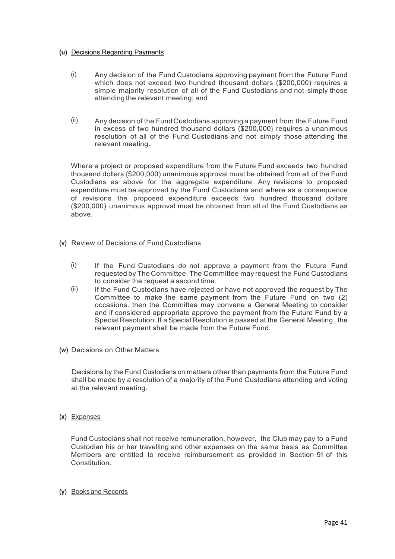#### **(u)** Decisions Regarding Payments

- (i) Any decision of the Fund Custodians approving payment from the Future Fund which does not exceed two hundred thousand dollars (\$200,000) requires a simple majority resolution of all of the Fund Custodians and not simply those attending the relevant meeting; and
- (ii) Any decision of the Fund Custodians approving a payment from the Future Fund in excess of two hundred thousand dollars (\$200,000} requires a unanimous resolution of all of the Fund Custodians and not simply those attending the relevant meeting.

Where a project or proposed expenditure from the Future Fund exceeds two hundred thousand dollars {\$200,000) unanimous approval must be obtained from all of the Fund Custodians as above for the aggregate expenditure. Any revisions to proposed expenditure must be approved by the Fund Custodians and where as a consequence of revisions the proposed expenditure exceeds two hundred thousand dollars (\$200,000) unanimous approval must be obtained from all of the Fund Custodians as above.

## **(v)** Review of Decisions of FundCustodians

- (i) If the Fund Custodians *do* not approve a payment from the Future Fund requested by The Committee, The Committee may request the Fund Custodians to consider the request a second time.
- (ii) If the Fund Custodians have rejected or have not approved the request by The Committee to make the same payment from the Future Fund on two (2) occasions. then the Committee may convene a General Meeting to consider and if considered appropriate approve the payment from the Future Fund by a Special Resolution. If a Special Resolution is passed at the General Meeting, the relevant payment shall be made from the Future Fund.
- **(w)** Decisions on Other Matters

Decisions by the Fund Custodians on matters other than payments from the Future Fund shall be made by a resolution of a majority of the Fund Custodians attending and voting at the relevant meeting.

**(x)** Expenses

Fund Custodians shall not receive remuneration, however, the Club may pay to a Fund Custodian his or her travelling and other expenses on the same basis as Committee Members are entitled to receive reimbursement as provided in Section 51 of this Constitution.

**(y)** Booksand Records